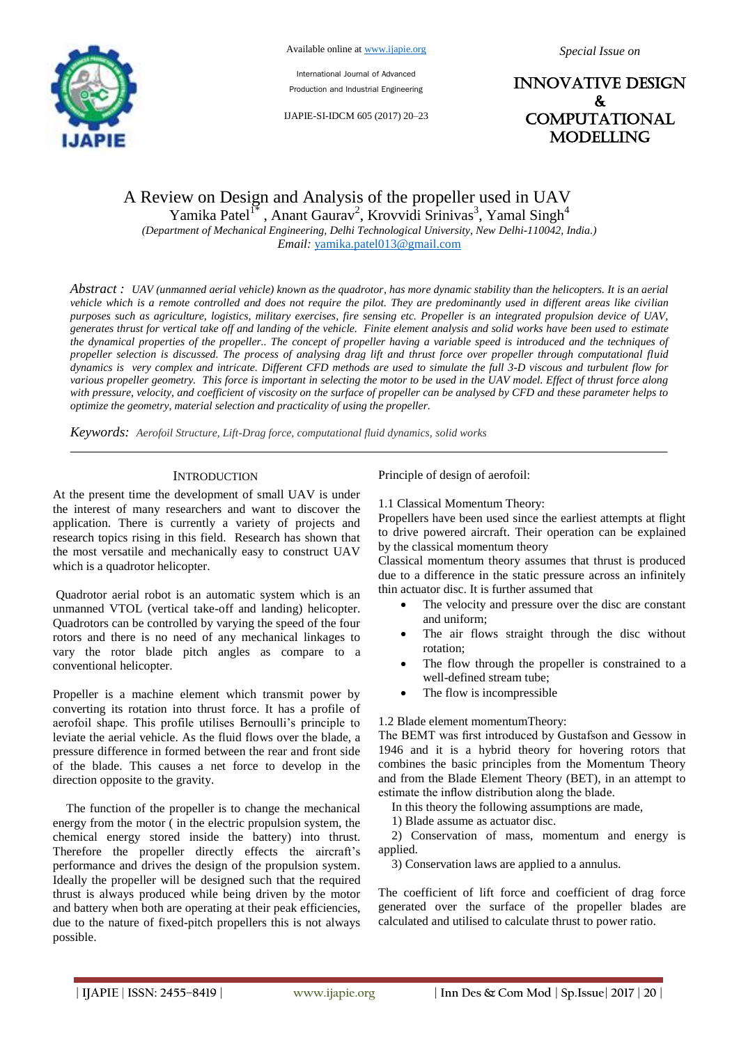

International Journal of Advanced Production and Industrial Engineering

IJAPIE-SI-IDCM 605 (2017) 20–23

INNOVATIVE DESIGN & **COMPUTATIONAL** MODELLING

# A Review on Design and Analysis of the propeller used in UAV Yamika Patel<sup>1\*</sup>, Anant Gaurav<sup>2</sup>, Krovvidi Srinivas<sup>3</sup>, Yamal Singh<sup>4</sup>

*(Department of Mechanical Engineering, Delhi Technological University, New Delhi-110042, India.)*

*Email:* yamika.patel013@gmail.com

*Abstract : UAV (unmanned aerial vehicle) known as the quadrotor, has more dynamic stability than the helicopters. It is an aerial vehicle which is a remote controlled and does not require the pilot. They are predominantly used in different areas like civilian purposes such as agriculture, logistics, military exercises, fire sensing etc. Propeller is an integrated propulsion device of UAV, generates thrust for vertical take off and landing of the vehicle. Finite element analysis and solid works have been used to estimate the dynamical properties of the propeller.. The concept of propeller having a variable speed is introduced and the techniques of propeller selection is discussed. The process of analysing drag lift and thrust force over propeller through computational fluid dynamics is very complex and intricate. Different CFD methods are used to simulate the full 3-D viscous and turbulent flow for various propeller geometry. This force is important in selecting the motor to be used in the UAV model. Effect of thrust force along with pressure, velocity, and coefficient of viscosity on the surface of propeller can be analysed by CFD and these parameter helps to optimize the geometry, material selection and practicality of using the propeller.*

*Keywords: Aerofoil Structure, Lift-Drag force, computational fluid dynamics, solid works*

### **INTRODUCTION**

At the present time the development of small UAV is under the interest of many researchers and want to discover the application. There is currently a variety of projects and research topics rising in this field. Research has shown that the most versatile and mechanically easy to construct UAV which is a quadrotor helicopter.

Quadrotor aerial robot is an automatic system which is an unmanned VTOL (vertical take-off and landing) helicopter. Quadrotors can be controlled by varying the speed of the four rotors and there is no need of any mechanical linkages to vary the rotor blade pitch angles as compare to a conventional helicopter.

Propeller is a machine element which transmit power by converting its rotation into thrust force. It has a profile of aerofoil shape. This profile utilises Bernoulli's principle to leviate the aerial vehicle. As the fluid flows over the blade, a pressure difference in formed between the rear and front side of the blade. This causes a net force to develop in the direction opposite to the gravity.

The function of the propeller is to change the mechanical energy from the motor ( in the electric propulsion system, the chemical energy stored inside the battery) into thrust. Therefore the propeller directly effects the aircraft's performance and drives the design of the propulsion system. Ideally the propeller will be designed such that the required thrust is always produced while being driven by the motor and battery when both are operating at their peak efficiencies, due to the nature of fixed-pitch propellers this is not always possible.

Principle of design of aerofoil:

1.1 Classical Momentum Theory:

Propellers have been used since the earliest attempts at flight to drive powered aircraft. Their operation can be explained by the classical momentum theory

Classical momentum theory assumes that thrust is produced due to a difference in the static pressure across an infinitely thin actuator disc. It is further assumed that

- The velocity and pressure over the disc are constant and uniform;
- The air flows straight through the disc without rotation;
- The flow through the propeller is constrained to a well-defined stream tube;
- The flow is incompressible

#### 1.2 Blade element momentumTheory:

The BEMT was first introduced by Gustafson and Gessow in 1946 and it is a hybrid theory for hovering rotors that combines the basic principles from the Momentum Theory and from the Blade Element Theory (BET), in an attempt to estimate the inflow distribution along the blade.

In this theory the following assumptions are made,

1) Blade assume as actuator disc.

2) Conservation of mass, momentum and energy is applied.

3) Conservation laws are applied to a annulus.

The coefficient of lift force and coefficient of drag force generated over the surface of the propeller blades are calculated and utilised to calculate thrust to power ratio.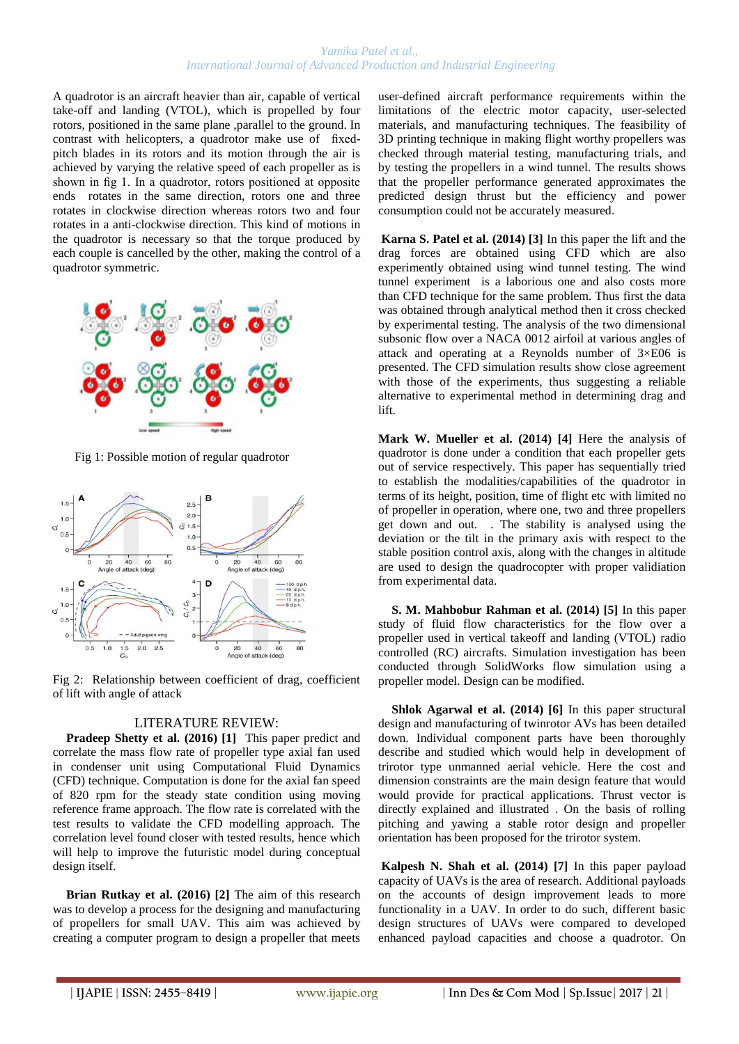### *Yamika Patel et al., International Journal of Advanced Production and Industrial Engineering*

A quadrotor is an aircraft heavier than air, capable of vertical take-off and landing (VTOL), which is propelled by four rotors, positioned in the same plane ,parallel to the ground. In contrast with helicopters, a quadrotor make use of fixedpitch blades in its rotors and its motion through the air is achieved by varying the relative speed of each propeller as is shown in fig 1. In a quadrotor, rotors positioned at opposite ends rotates in the same direction, rotors one and three rotates in clockwise direction whereas rotors two and four rotates in a anti-clockwise direction. This kind of motions in the quadrotor is necessary so that the torque produced by each couple is cancelled by the other, making the control of a quadrotor symmetric.



Fig 1: Possible motion of regular quadrotor



Fig 2: Relationship between coefficient of drag, coefficient of lift with angle of attack

## LITERATURE REVIEW:

**Pradeep Shetty et al. (2016) [1]** This paper predict and correlate the mass flow rate of propeller type axial fan used in condenser unit using Computational Fluid Dynamics (CFD) technique. Computation is done for the axial fan speed of 820 rpm for the steady state condition using moving reference frame approach. The flow rate is correlated with the test results to validate the CFD modelling approach. The correlation level found closer with tested results, hence which will help to improve the futuristic model during conceptual design itself.

**Brian Rutkay et al. (2016) [2]** The aim of this research was to develop a process for the designing and manufacturing of propellers for small UAV. This aim was achieved by creating a computer program to design a propeller that meets

user-defined aircraft performance requirements within the limitations of the electric motor capacity, user-selected materials, and manufacturing techniques. The feasibility of 3D printing technique in making flight worthy propellers was checked through material testing, manufacturing trials, and by testing the propellers in a wind tunnel. The results shows that the propeller performance generated approximates the predicted design thrust but the efficiency and power consumption could not be accurately measured.

**Karna S. Patel et al. (2014) [3]** In this paper the lift and the drag forces are obtained using CFD which are also experimently obtained using wind tunnel testing. The wind tunnel experiment is a laborious one and also costs more than CFD technique for the same problem. Thus first the data was obtained through analytical method then it cross checked by experimental testing. The analysis of the two dimensional subsonic flow over a NACA 0012 airfoil at various angles of attack and operating at a Reynolds number of 3×E06 is presented. The CFD simulation results show close agreement with those of the experiments, thus suggesting a reliable alternative to experimental method in determining drag and lift.

**Mark W. Mueller et al. (2014) [4]** Here the analysis of quadrotor is done under a condition that each propeller gets out of service respectively. This paper has sequentially tried to establish the modalities/capabilities of the quadrotor in terms of its height, position, time of flight etc with limited no of propeller in operation, where one, two and three propellers get down and out. . The stability is analysed using the deviation or the tilt in the primary axis with respect to the stable position control axis, along with the changes in altitude are used to design the quadrocopter with proper validiation from experimental data.

**S. M. Mahbobur Rahman et al. (2014) [5]** In this paper study of fluid flow characteristics for the flow over a propeller used in vertical takeoff and landing (VTOL) radio controlled (RC) aircrafts. Simulation investigation has been conducted through SolidWorks flow simulation using a propeller model. Design can be modified.

**Shlok Agarwal et al. (2014) [6]** In this paper structural design and manufacturing of twinrotor AVs has been detailed down. Individual component parts have been thoroughly describe and studied which would help in development of trirotor type unmanned aerial vehicle. Here the cost and dimension constraints are the main design feature that would would provide for practical applications. Thrust vector is directly explained and illustrated . On the basis of rolling pitching and yawing a stable rotor design and propeller orientation has been proposed for the trirotor system.

**Kalpesh N. Shah et al. (2014) [7]** In this paper payload capacity of UAVs is the area of research. Additional payloads on the accounts of design improvement leads to more functionality in a UAV. In order to do such, different basic design structures of UAVs were compared to developed enhanced payload capacities and choose a quadrotor. On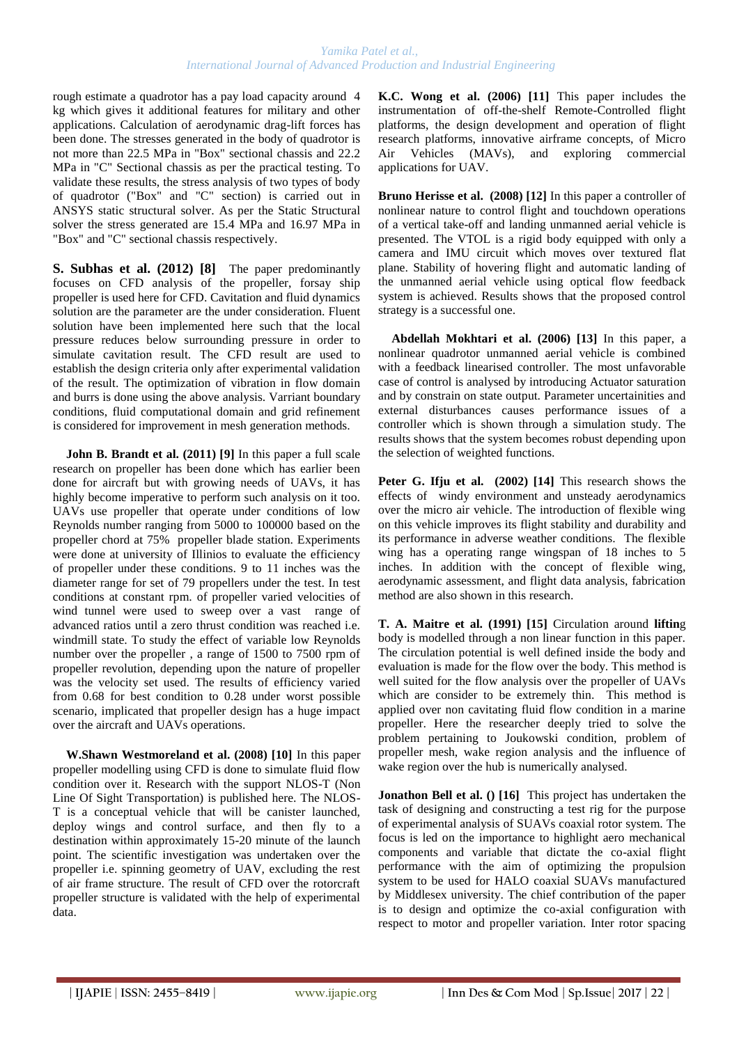### *Yamika Patel et al., International Journal of Advanced Production and Industrial Engineering*

rough estimate a quadrotor has a pay load capacity around 4 kg which gives it additional features for military and other applications. Calculation of aerodynamic drag-lift forces has been done. The stresses generated in the body of quadrotor is not more than 22.5 MPa in "Box" sectional chassis and 22.2 MPa in "C" Sectional chassis as per the practical testing. To validate these results, the stress analysis of two types of body of quadrotor ("Box" and "C" section) is carried out in ANSYS static structural solver. As per the Static Structural solver the stress generated are 15.4 MPa and 16.97 MPa in "Box" and "C" sectional chassis respectively.

**S. Subhas et al. (2012) [8]** The paper predominantly focuses on CFD analysis of the propeller, forsay ship propeller is used here for CFD. Cavitation and fluid dynamics solution are the parameter are the under consideration. Fluent solution have been implemented here such that the local pressure reduces below surrounding pressure in order to simulate cavitation result. The CFD result are used to establish the design criteria only after experimental validation of the result. The optimization of vibration in flow domain and burrs is done using the above analysis. Varriant boundary conditions, fluid computational domain and grid refinement is considered for improvement in mesh generation methods.

**John B. Brandt et al. (2011) [9]** In this paper a full scale research on propeller has been done which has earlier been done for aircraft but with growing needs of UAVs, it has highly become imperative to perform such analysis on it too. UAVs use propeller that operate under conditions of low Reynolds number ranging from 5000 to 100000 based on the propeller chord at 75% propeller blade station. Experiments were done at university of Illinios to evaluate the efficiency of propeller under these conditions. 9 to 11 inches was the diameter range for set of 79 propellers under the test. In test conditions at constant rpm. of propeller varied velocities of wind tunnel were used to sweep over a vast range of advanced ratios until a zero thrust condition was reached i.e. windmill state. To study the effect of variable low Reynolds number over the propeller , a range of 1500 to 7500 rpm of propeller revolution, depending upon the nature of propeller was the velocity set used. The results of efficiency varied from 0.68 for best condition to 0.28 under worst possible scenario, implicated that propeller design has a huge impact over the aircraft and UAVs operations.

**W.Shawn Westmoreland et al. (2008) [10]** In this paper propeller modelling using CFD is done to simulate fluid flow condition over it. Research with the support NLOS-T (Non Line Of Sight Transportation) is published here. The NLOS-T is a conceptual vehicle that will be canister launched, deploy wings and control surface, and then fly to a destination within approximately 15-20 minute of the launch point. The scientific investigation was undertaken over the propeller i.e. spinning geometry of UAV, excluding the rest of air frame structure. The result of CFD over the rotorcraft propeller structure is validated with the help of experimental data.

**K.C. Wong et al. (2006) [11]** This paper includes the instrumentation of off-the-shelf Remote-Controlled flight platforms, the design development and operation of flight research platforms, innovative airframe concepts, of Micro Air Vehicles (MAVs), and exploring commercial applications for UAV.

**Bruno Herisse et al. (2008) [12]** In this paper a controller of nonlinear nature to control flight and touchdown operations of a vertical take-off and landing unmanned aerial vehicle is presented. The VTOL is a rigid body equipped with only a camera and IMU circuit which moves over textured flat plane. Stability of hovering flight and automatic landing of the unmanned aerial vehicle using optical flow feedback system is achieved. Results shows that the proposed control strategy is a successful one.

**Abdellah Mokhtari et al. (2006) [13]** In this paper, a nonlinear quadrotor unmanned aerial vehicle is combined with a feedback linearised controller. The most unfavorable case of control is analysed by introducing Actuator saturation and by constrain on state output. Parameter uncertainities and external disturbances causes performance issues of a controller which is shown through a simulation study. The results shows that the system becomes robust depending upon the selection of weighted functions.

**Peter G. Ifju et al. (2002) [14]** This research shows the effects of windy environment and unsteady aerodynamics over the micro air vehicle. The introduction of flexible wing on this vehicle improves its flight stability and durability and its performance in adverse weather conditions. The flexible wing has a operating range wingspan of 18 inches to 5 inches. In addition with the concept of flexible wing, aerodynamic assessment, and flight data analysis, fabrication method are also shown in this research.

**T. A. Maitre et al. (1991) [15]** Circulation around **liftin**g body is modelled through a non linear function in this paper. The circulation potential is well defined inside the body and evaluation is made for the flow over the body. This method is well suited for the flow analysis over the propeller of UAVs which are consider to be extremely thin. This method is applied over non cavitating fluid flow condition in a marine propeller. Here the researcher deeply tried to solve the problem pertaining to Joukowski condition, problem of propeller mesh, wake region analysis and the influence of wake region over the hub is numerically analysed.

**Jonathon Bell et al. () [16]** This project has undertaken the task of designing and constructing a test rig for the purpose of experimental analysis of SUAVs coaxial rotor system. The focus is led on the importance to highlight aero mechanical components and variable that dictate the co-axial flight performance with the aim of optimizing the propulsion system to be used for HALO coaxial SUAVs manufactured by Middlesex university. The chief contribution of the paper is to design and optimize the co-axial configuration with respect to motor and propeller variation. Inter rotor spacing